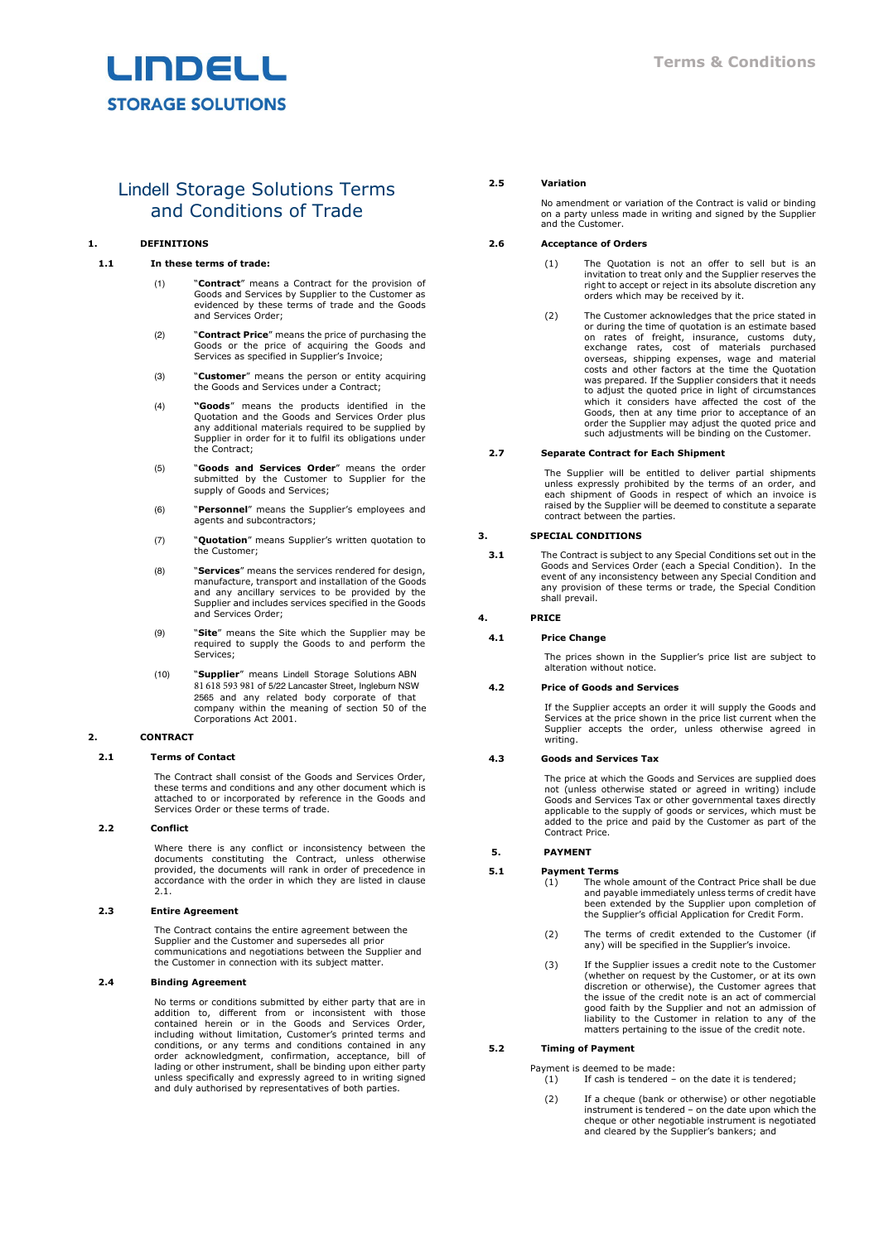

# Lindell Storage Solutions Terms and Conditions of Trade

# **1. DEFINITIONS**

#### **1.1 In these terms of trade:**

- (1) "**Contract**" means a Contract for the provision of Goods and Services by Supplier to the Customer as evidenced by these terms of trade and the Goods and Services Order;
- (2) "**Contract Price**" means the price of purchasing the Goods or the price of acquiring the Goods and Services as specified in Supplier's Invoice;
- (3) "**Customer**" means the person or entity acquiring the Goods and Services under a Contract;
- (4) **"Goods**" means the products identified in the Quotation and the Goods and Services Order plus any additional materials required to be supplied by Supplier in order for it to fulfil its obligations under the Contract;
- (5) "**Goods and Services Order**" means the order submitted by the Customer to Supplier for the supply of Goods and Services;
- (6) "**Personnel**" means the Supplier's employees and agents and subcontractors;
- (7) "**Quotation**" means Supplier's written quotation to the Customer;
- (8) "**Services**" means the services rendered for design, manufacture, transport and installation of the Goods and any ancillary services to be provided by the Supplier and includes services specified in the Goods and Services Order;
- (9) "**Site**" means the Site which the Supplier may be required to supply the Goods to and perform the Services;
- (10) "**Supplier**" means Lindell Storage Solutions ABN 81 618 593 981 of 5/22 Lancaster Street, Ingleburn NSW 2565 and any related body corporate of that company within the meaning of section 50 of the Corporations Act 2001.

## **2. CONTRACT**

## <span id="page-0-0"></span>**2.1 Terms of Contact**

The Contract shall consist of the Goods and Services Order, these terms and conditions and any other document which is attached to or incorporated by reference in the Goods and Services Order or these terms of trade.

# **2.2 Conflict**

Where there is any conflict or inconsistency between the documents constituting the Contract, unless otherwise provided, the documents will rank in order of precedence in accordance with the order in which they are listed in clause [2.1.](#page-0-0)

# **2.3 Entire Agreement**

The Contract contains the entire agreement between the Supplier and the Customer and supersedes all prior communications and negotiations between the Supplier and the Customer in connection with its subject matter.

# **2.4 Binding Agreement**

No terms or conditions submitted by either party that are in addition to, different from or inconsistent with those contained herein or in the Goods and Services Order, including without limitation, Customer's printed terms and conditions, or any terms and conditions contained in any<br>order acknowledgment, confirmation, acceptance, bill of<br>lading or other instrument, shall be binding upon either party<br>unless specifically and expressly agreed to in and duly authorised by representatives of both parties.

#### **2.5 Variation**

No amendment or variation of the Contract is valid or binding on a party unless made in writing and signed by the Supplier and the Customer.

#### **2.6 Acceptance of Orders**

- (1) The Quotation is not an offer to sell but is an invitation to treat only and the Supplier reserves the right to accept or reject in its absolute discretion any orders which may be received by it.
- (2) The Customer acknowledges that the price stated in or during the time of quotation is an estimate based on rates of freight, insurance, customs duty, exchange rates, cost of materials purchased overseas, shipping expenses, wage and material costs and other factors at the time the Quotation was prepared. If the Supplier considers that it needs to adjust the quoted price in light of circumstances which it considers have affected the cost of the Goods, then at any time prior to acceptance of an order the Supplier may adjust the quoted price and such adjustments will be binding on the Customer.

#### **2.7 Separate Contract for Each Shipment**

The Supplier will be entitled to deliver partial shipments unless expressly prohibited by the terms of an order, and each shipment of Goods in respect of which an invoice is raised by the Supplier will be deemed to constitute a separate contract between the parties.

#### **3. SPECIAL CONDITIONS**

**3.1** The Contract is subject to any Special Conditions set out in the Goods and Services Order (each a Special Condition). In the event of any inconsistency between any Special Condition and any provision of these terms or trade, the Special Condition shall prevail.

#### **4. PRICE**

#### **4.1 Price Change**

The prices shown in the Supplier's price list are subject to alteration without notice.

# **4.2 Price of Goods and Services**

If the Supplier accepts an order it will supply the Goods and Services at the price shown in the price list current when the Supplier accepts the order, unless otherwise agreed in writing.

## **4.3 Goods and Services Tax**

The price at which the Goods and Services are supplied does not (unless otherwise stated or agreed in writing) include Goods and Services Tax or other governmental taxes directly applicable to the supply of goods or services, which must be added to the price and paid by the Customer as part of the Contract Price.

## **5. PAYMENT**

#### **5.1 Payment Terms**

(1) The whole amount of the Contract Price shall be due and payable immediately unless terms of credit have been extended by the Supplier upon completion of the Supplier's official Application for Credit Form.

- (2) The terms of credit extended to the Customer (if any) will be specified in the Supplier's invoice.
- (3) If the Supplier issues a credit note to the Customer (whether on request by the Customer, or at its own discretion or otherwise), the Customer agrees that the issue of the credit note is an act of commercial good faith by the Supplier and not an admission of liability to the Customer in relation to any of the matters pertaining to the issue of the credit note.

# **5.2 Timing of Payment**

Payment is deemed to be made:  $(1)$  If cash is tendered – on the date it is tendered;

(2) If a cheque (bank or otherwise) or other negotiable instrument is tendered – on the date upon which the cheque or other negotiable instrument is negotiated and cleared by the Supplier's bankers; and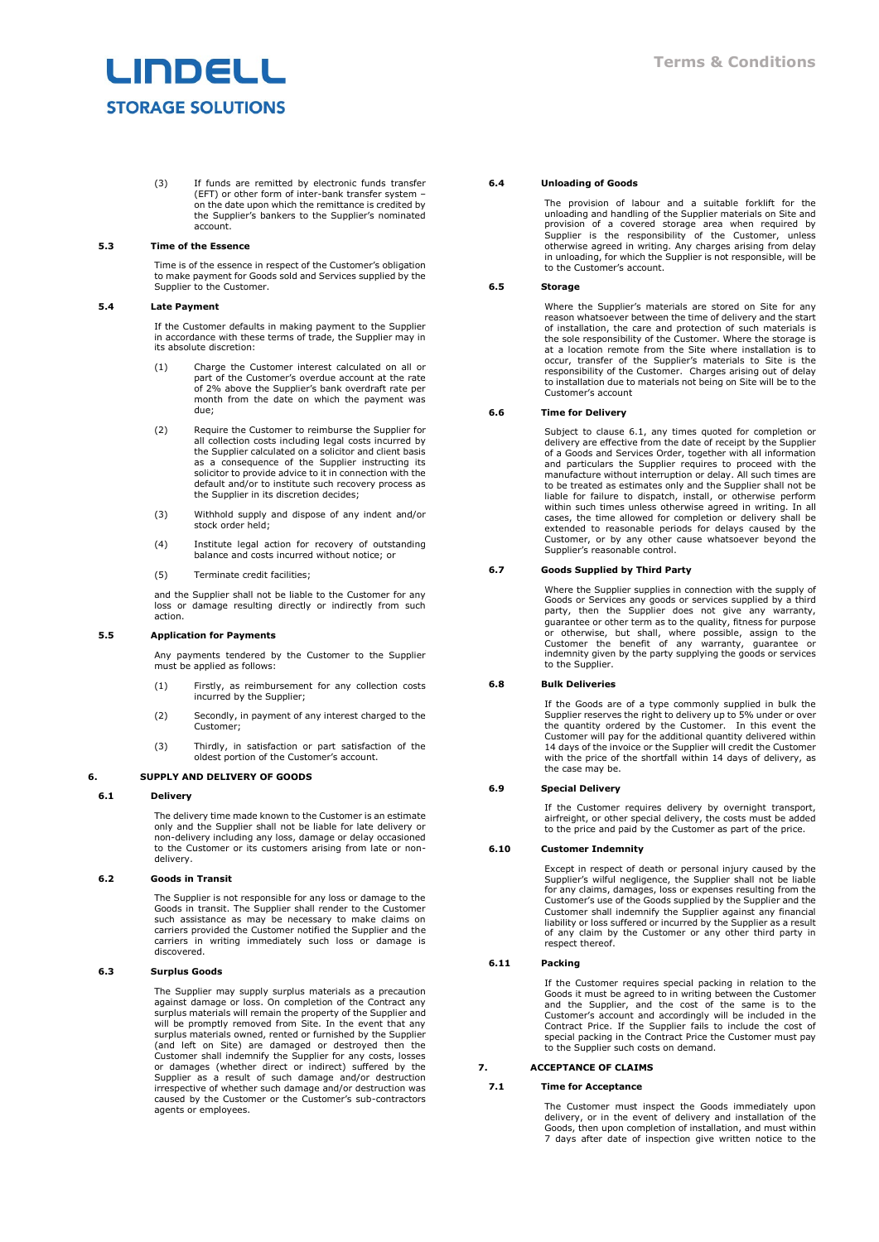# LINDELL **STORAGE SOLUTIONS**

(3) If funds are remitted by electronic funds transfer (EFT) or other form of inter-bank transfer system – on the date upon which the remittance is credited by the Supplier's bankers to the Supplier's nominated account.

## **5.3 Time of the Essence**

Time is of the essence in respect of the Customer's obligation to make payment for Goods sold and Services supplied by the Supplier to the Customer.

### **5.4 Late Payment**

If the Customer defaults in making payment to the Supplier in accordance with these terms of trade, the Supplier may in its absolute discretion:

- (1) Charge the Customer interest calculated on all or part of the Customer's overdue account at the rate of 2% above the Supplier's bank overdraft rate per month from the date on which the payment was due;
- (2) Require the Customer to reimburse the Supplier for all collection costs including legal costs incurred by the Supplier calculated on a solicitor and client basis as a consequence of the Supplier instructing its solicitor to provide advice to it in connection with the default and/or to institute such recovery process as the Supplier in its discretion decides;
- (3) Withhold supply and dispose of any indent and/or stock order held;
- (4) Institute legal action for recovery of outstanding balance and costs incurred without notice; or
- (5) Terminate credit facilities;

and the Supplier shall not be liable to the Customer for any loss or damage resulting directly or indirectly from such action.

### **5.5 Application for Payments**

Any payments tendered by the Customer to the Supplier must be applied as follows:

- (1) Firstly, as reimbursement for any collection costs incurred by the Supplier;
- (2) Secondly, in payment of any interest charged to the Customer;
- (3) Thirdly, in satisfaction or part satisfaction of the oldest portion of the Customer's account.

# **6. SUPPLY AND DELIVERY OF GOODS**

# <span id="page-1-0"></span>**6.1 Delivery**

The delivery time made known to the Customer is an estimate only and the Supplier shall not be liable for late delivery or non-delivery including any loss, damage or delay occasioned to the Customer or its customers arising from late or nondelivery.

### **6.2 Goods in Transit**

The Supplier is not responsible for any loss or damage to the Goods in transit. The Supplier shall render to the Customer<br>such assistance as may be necessary to make claims on<br>carriers provided the Customer notified the Supplier and the<br>carriers in writing immediately such loss or da discovered.

## **6.3 Surplus Goods**

The Supplier may supply surplus materials as a precaution against damage or loss. On completion of the Contract any surplus materials will remain the property of the Supplier and will be promptly removed from Site. In the event that any surplus materials owned, rented or furnished by the Supplier (and left on Site) are damaged or destroyed then the<br>Customer shall indemnify the Supplier for any costs, losses<br>or damages (whether direct or indirect) suffered by the<br>Supplier as a result of such damage and/or destructio irrespective of whether such damage and/or destruction was caused by the Customer or the Customer's sub-contractors agents or employees.

#### **6.4 Unloading of Goods**

The provision of labour and a suitable forklift for the unloading and handling of the Supplier materials on Site and<br>provision of a covered storage area when required by<br>Supplier is the responsibility of the Customer, unless<br>otherwise agreed in writing. Any charges arising from to the Customer's account.

# **6.5 Storage**

Where the Supplier's materials are stored on Site for any reason whatsoever between the time of delivery and the start of installation, the care and protection of such materials is the sole responsibility of the Customer. Where the storage is at a location remote from the Site where installation is to occur, transfer of the Supplier's materials to Site is the responsibility of the Customer. Charges arising out of delay to installation due to materials not being on Site will be to the Customer's account

## **6.6 Time for Delivery**

Subject to clause [6.1,](#page-1-0) any times quoted for completion or delivery are effective from the date of receipt by the Supplier of a Goods and Services Order, together with all information and particulars the Supplier requires to proceed with the manufacture without interruption or delay. All such times are to be treated as estimates only and the Supplier shall not be liable for failure to dispatch, install, or otherwise perform within such times unless otherwise agreed in writing. In all cases, the time allowed for completion or delivery shall be extended to reasonable periods for delays caused by the Customer, or by any other cause whatsoever beyond the Supplier's reasonable control.

## **6.7 Goods Supplied by Third Party**

Where the Supplier supplies in connection with the supply of Goods or Services any goods or services supplied by a third party, then the Supplier does not give any warranty, guarantee or other term as to the quality, fitness for purpose or otherwise, but shall, where possible, assign to the Customer the benefit of any warranty, guarantee or indemnity given by the party supplying the goods or services to the Supplier.

# **6.8 Bulk Deliveries**

If the Goods are of a type commonly supplied in bulk the Supplier reserves the right to delivery up to 5% under or over the quantity ordered by the Customer. In this event the Customer will pay for the additional quantity delivered within 14 days of the invoice or the Supplier will credit the Customer with the price of the shortfall within 14 days of delivery, as the case may be.

## **6.9 Special Delivery**

If the Customer requires delivery by overnight transport, airfreight, or other special delivery, the costs must be added to the price and paid by the Customer as part of the price.

# **6.10 Customer Indemnity**

Except in respect of death or personal injury caused by the Supplier's wilful negligence, the Supplier shall not be liable for any claims, damages, loss or expenses resulting from the Customer's use of the Goods supplied by the Supplier and the Customer shall indemnify the Supplier against any financial liability or loss suffered or incurred by the Supplier as a result of any claim by the Customer or any other third party in respect thereof.

# **6.11 Packing**

If the Customer requires special packing in relation to the Goods it must be agreed to in writing between the Customer and the outlomer Customer's account and accordingly will be included in the Contract Price. If the Supp special packing in the Contract Price the Customer must pay to the Supplier such costs on demand.

#### **7. ACCEPTANCE OF CLAIMS**

#### **7.1 Time for Acceptance**

The Customer must inspect the Goods immediately upon delivery, or in the event of delivery and installation of the Goods, then upon completion of installation, and must within 7 days after date of inspection give written notice to the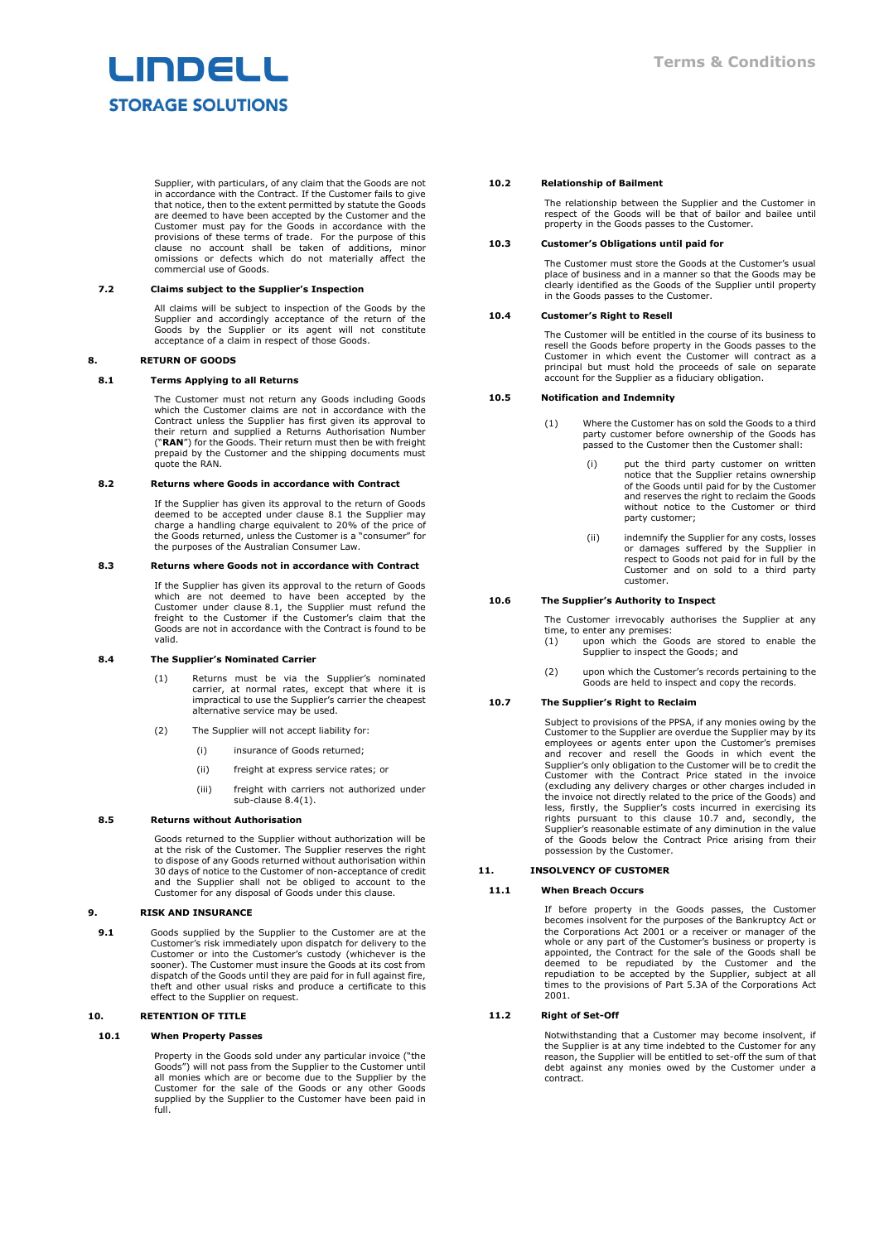# **INDELL STORAGE SOLUTIONS**

Supplier, with particulars, of any claim that the Goods are not in accordance with the Contract. If the Customer fails to give that notice, then to the extent permitted by statute the Goods are deemed to have been accepted by the Customer and the Customer must pay for the Goods in accordance with the provisions of these terms of trade. For the purpose of this clause no account shall be taken of additions, minor omissions or defects which do not materially affect the commercial use of Goods.

## **7.2 Claims subject to the Supplier's Inspection**

All claims will be subject to inspection of the Goods by the Supplier and accordingly acceptance of the return of the Goods by the Supplier or its agent will not constitute acceptance of a claim in respect of those Goods.

#### **8. RETURN OF GOODS**

## <span id="page-2-0"></span>**8.1 Terms Applying to all Returns**

The Customer must not return any Goods including Goods which the Customer claims are not in accordance with the Contract unless the Supplier has first given its approval to their return and supplied a Returns Authorisation Number ("**RAN**") for the Goods. Their return must then be with freight prepaid by the Customer and the shipping documents must quote the RAN.

#### **8.2 Returns where Goods in accordance with Contract**

If the Supplier has given its approval to the return of Goods deemed to be accepted under clause [8.1](#page-2-0) the Supplier may charge a handling charge equivalent to 20% of the price of the Goods returned, unless the Customer is a "consumer" for the purposes of the Australian Consumer Law.

#### **8.3 Returns where Goods not in accordance with Contract**

If the Supplier has given its approval to the return of Goods which are not deemed to have been accepted by the Customer under clause [8.1,](#page-2-0) the Supplier must refund the freight to the Customer if the Customer's claim that the Goods are not in accordance with the Contract is found to be valid.

## <span id="page-2-1"></span>**8.4 The Supplier's Nominated Carrier**

- (1) Returns must be via the Supplier's nominated carrier, at normal rates, except that where it is impractical to use the Supplier's carrier the cheapest alternative service may be used.
- (2) The Supplier will not accept liability for:
	- (i) insurance of Goods returned;
	- (ii) freight at express service rates; or
	- (iii) freight with carriers not authorized under sub-clause [8.4\(1\).](#page-2-1)

#### **8.5 Returns without Authorisation**

Goods returned to the Supplier without authorization will be at the risk of the Customer. The Supplier reserves the right to dispose of any Goods returned without authorisation within 30 days of notice to the Customer of non-acceptance of credit and the Supplier shall not be obliged to account to the Customer for any disposal of Goods under this clause.

# **9. RISK AND INSURANCE**

**9.1** Goods supplied by the Supplier to the Customer are at the Customer's risk immediately upon dispatch for delivery to the Customer or into the Customer's custody (whichever is the sooner). The Customer must insure the Goods at its cost from dispatch of the Goods until they are paid for in full against fire, theft and other usual risks and produce a certificate to this effect to the Supplier on request.

# <span id="page-2-3"></span>**10. RETENTION OF TITLE**

#### **10.1 When Property Passes**

Property in the Goods sold under any particular invoice ("the Goods") will not pass from the Supplier to the Customer until all monies which are or become due to the Supplier by the Customer for the sale of the Goods or any other Goods supplied by the Supplier to the Customer have been paid in full.

#### **10.2 Relationship of Bailment**

The relationship between the Supplier and the Customer in respect of the Goods will be that of bailor and bailee until property in the Goods passes to the Customer.

#### **10.3 Customer's Obligations until paid for**

The Customer must store the Goods at the Customer's usual place of business and in a manner so that the Goods may be clearly identified as the Goods of the Supplier until property in the Goods passes to the Customer.

## **10.4 Customer's Right to Resell**

The Customer will be entitled in the course of its business to resell the Goods before property in the Goods passes to the Customer in which event the Customer will contract as a principal but must hold the proceeds of sale on separate account for the Supplier as a fiduciary obligation.

#### **10.5 Notification and Indemnity**

- (1) Where the Customer has on sold the Goods to a third party customer before ownership of the Goods has passed to the Customer then the Customer shall:
	- (i) put the third party customer on written notice that the Supplier retains ownership of the Goods until paid for by the Customer and reserves the right to reclaim the Goods without notice to the Customer or third party customer;
	- (ii) indemnify the Supplier for any costs, losses or damages suffered by the Supplier in respect to Goods not paid for in full by the Customer and on sold to a third party customer.

#### **10.6 The Supplier's Authority to Inspect**

The Customer irrevocably authorises the Supplier at any time, to enter any premises:

- (1) upon which the Goods are stored to enable the Supplier to inspect the Goods; and
- (2) upon which the Customer's records pertaining to the Goods are held to inspect and copy the records.

## <span id="page-2-2"></span>**10.7 The Supplier's Right to Reclaim**

Subject to provisions of the PPSA, if any monies owing by the Subject to provisions of the FFSA, if any momes owing by the Customer to the Supplier are overdue the Supplier may by its employees or agents enter upon the Customer's premises and recover and resell the Goods in which event the Supplier's only obligation to the Customer will be to credit the Customer with the Contract Price stated in the invoice (excluding any delivery charges or other charges included in the invoice not directly related to the price of the Goods) and<br>less, firstly, the Supplier's costs incurred in exercising its<br>rights pursuant to this clause [10.7](#page-2-2) and, secondly, the<br>Supplier's reasonable estimate of any di possession by the Customer.

# <span id="page-2-4"></span>**11. INSOLVENCY OF CUSTOMER**

#### **11.1 When Breach Occurs**

If before property in the Goods passes, the Customer becomes insolvent for the purposes of the Bankruptcy Act or the Corporations Act 2001 or a receiver or manager of the whole or any part of the Customer's business or property is<br>appointed, the Contract for the sale of the Goods shall be<br>deemed to be repudiated by the Customer and the<br>repudiation to be accepted by the Supplier, subject at 2001.

# **11.2 Right of Set-Off**

Notwithstanding that a Customer may become insolvent, if the Supplier is at any time indebted to the Customer for any reason, the Supplier will be entitled to set-off the sum of that debt against any monies owed by the Customer under a contract.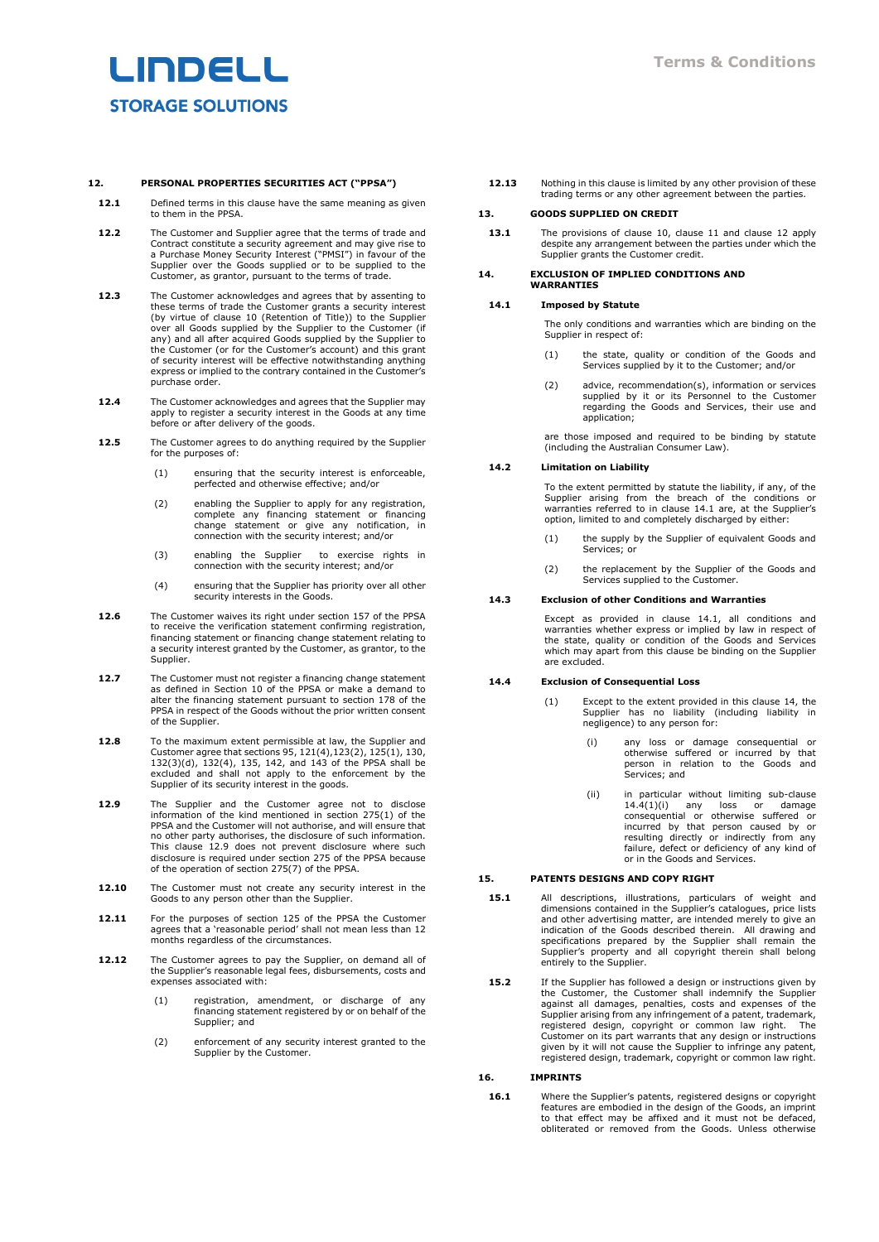# LINDELL **STORAGE SOLUTIONS**

# **12. PERSONAL PROPERTIES SECURITIES ACT ("PPSA")**

- <span id="page-3-1"></span>**12.1** Defined terms in this clause have the same meaning as given to them in the PPSA.
- **12.2** The Customer and Supplier agree that the terms of trade and Contract constitute a security agreement and may give rise to a Purchase Money Security Interest ("PMSI") in favour of the Supplier over the Goods supplied or to be supplied to the Customer, as grantor, pursuant to the terms of trade.
- **12.3** The Customer acknowledges and agrees that by assenting to these terms of trade the Customer grants a security interest (by virtue of clause [10](#page-2-3) (Retention of Tite)) to the Supplier over all Goods supplied by the Supp express or implied to the contrary contained in the Customer's purchase order.
- **12.4** The Customer acknowledges and agrees that the Supplier may apply to register a security interest in the Goods at any time before or after delivery of the goods.
- **12.5** The Customer agrees to do anything required by the Supplier for the purposes of:
	- (1) ensuring that the security interest is enforceable, perfected and otherwise effective; and/or
	- (2) enabling the Supplier to apply for any registration, complete any financing statement or financing change statement or give any notification, in connection with the security interest; and/or
	- (3) enabling the Supplier to exercise rights in connection with the security interest; and/or
	- (4) ensuring that the Supplier has priority over all other security interests in the Goods.
- **12.6** The Customer waives its right under section 157 of the PPSA to receive the verification statement confirming registration, financing statement or financing change statement relating to a security interest granted by the Customer, as grantor, to the Supplier.
- **12.7** The Customer must not register a financing change statement as defined in Section 10 of the PPSA or make a demand to alter the financing statement pursuant to section 178 of the PPSA in respect of the Goods without the prior written consent of the Supplier.
- **12.8** To the maximum extent permissible at law, the Supplier and Customer agree that sections 95, 121(4),123(2), 125(1), 130, 132(3)(d), 132(4), 135, 142, and 143 of the PPSA shall be excluded and shall not apply to the enforcement by the Supplier of its security interest in the goods.
- <span id="page-3-0"></span>**12.9** The Supplier and the Customer agree not to disclose information of the kind mentioned in section 275(1) of the PPSA and the Customer will not authorise, and will ensure that no other party authorises, the disclosure of such information. This clause [12.9](#page-3-0) does not prevent disclosure where such disclosure is required under section 275 of the PPSA because of the operation of section 275(7) of the PPSA.
- **12.10** The Customer must not create any security interest in the Goods to any person other than the Supplier.
- **12.11** For the purposes of section 125 of the PPSA the Customer agrees that a 'reasonable period' shall not mean less than 12 months regardless of the circumstances.
- **12.12** The Customer agrees to pay the Supplier, on demand all of the Supplier's reasonable legal fees, disbursements, costs and expenses associated with:
	- (1) registration, amendment, or discharge of any financing statement registered by or on behalf of the Supplier; and
	- (2) enforcement of any security interest granted to the Supplier by the Customer.

**12.13** Nothing in this clause is limited by any other provision of these trading terms or any other agreement between the parties.

#### **13. GOODS SUPPLIED ON CREDIT**

**13.1** The provisions of clause [10,](#page-2-3) clause [11](#page-2-4) and clause [12](#page-3-1) apply despite any arrangement between the parties under which the Supplier grants the Customer credit.

#### <span id="page-3-3"></span>**14. EXCLUSION OF IMPLIED CONDITIONS AND WARRANTIES**

## <span id="page-3-2"></span>**14.1 Imposed by Statute**

The only conditions and warranties which are binding on the Supplier in respect of:

- (1) the state, quality or condition of the Goods and Services supplied by it to the Customer; and/or
- (2) advice, recommendation(s), information or services supplied by it or its Personnel to the Customer regarding the Goods and Services, their use and application:

are those imposed and required to be binding by statute (including the Australian Consumer Law).

#### **14.2 Limitation on Liability**

To the extent permitted by statute the liability, if any, of the Supplier arising from the breach of the conditions or warranties referred to in clause [14.1](#page-3-2) are, at the Supplier's option, limited to and completely discharged by either:

- (1) the supply by the Supplier of equivalent Goods and Services; or
- (2) the replacement by the Supplier of the Goods and Services supplied to the Customer.

#### **14.3 Exclusion of other Conditions and Warranties**

Except as provided in clause [14.1,](#page-3-2) all conditions and warranties whether express or implied by law in respect of the state, quality or condition of the Goods and Services which may apart from this clause be binding on the Supplier are excluded.

#### <span id="page-3-5"></span><span id="page-3-4"></span>**14.4 Exclusion of Consequential Loss**

- (1) Except to the extent provided in this clause [14,](#page-3-3) the Supplier has no liability (including liability in negligence) to any person for:
	- (i) any loss or damage consequential or otherwise suffered or incurred by that person in relation to the Goods and Services; and
	- (ii) in particular without limiting sub-clause [14.4\(1\)\(i\)](#page-3-4) any loss or damage consequential or otherwise suffered or incurred by that person caused by or resulting directly or indirectly from any failure, defect or deficiency of any kind of or in the Goods and Services.

# **15. PATENTS DESIGNS AND COPY RIGHT**

- **15.1** All descriptions, illustrations, particulars of weight and dimensions contained in the Supplier's catalogues, price lists and other advertising matter, are intended merely to give an indication of the Goods described therein. All drawing and specifications prepared by the Supplier shall remain the Supplier's property and all copyright therein shall belong entirely to the Supplier.
- **15.2** If the Supplier has followed a design or instructions given by the Customer, the Customer shall indemnify the Supplier against all damages, penalties, costs and expenses of the Supplier arising from any infringement of a patent, trademark, registered design, copyright or common law right. The Customer on its part warrants that any design or instructions given by it will not cause the Supplier to infringe any patent, registered design, trademark, copyright or common law right.

# **16. IMPRINTS**

16.1 Where the Supplier's patents, registered designs or copyright features are embodied in the design of the Goods, an imprint to that effect may be affixed and it must not be defaced, obliterated or removed from the Goods. Unless otherwise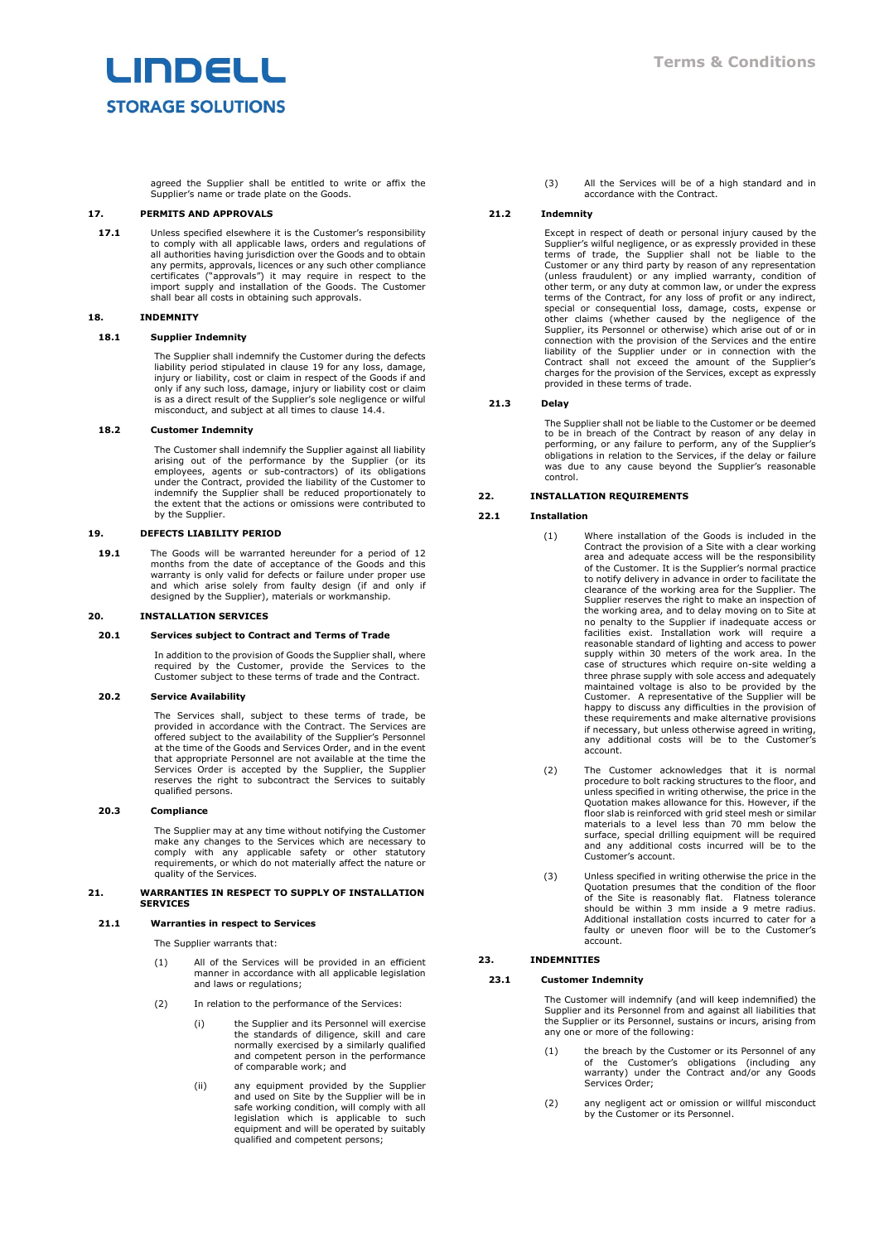agreed the Supplier shall be entitled to write or affix the Supplier's name or trade plate on the Goods.

#### **17. PERMITS AND APPROVALS**

**17.1** Unless specified elsewhere it is the Customer's responsibility to comply with all applicable laws, orders and regulations of all authorities having jurisdiction over the Goods and to obtain any permits, approvals, licences or any such other compliance certificates ("approvals") it may require in respect to the import supply and installation of the Goods. The Customer shall bear all costs in obtaining such approvals.

## **18. INDEMNITY**

## **18.1 Supplier Indemnity**

The Supplier shall indemnify the Customer during the defects liability period stipulated in clause [19](#page-4-0) for any loss, damage, injury or liability, cost or claim in respect of the Goods if and only if any such loss, damage, injury or liability cost or claim is as a direct result of the Supplier's sole negligence or wilful misconduct, and subject at all times to clause [14.4.](#page-3-5)

# **18.2 Customer Indemnity**

The Customer shall indemnify the Supplier against all liability arising out of the performance by the Supplier (or its employees, agents or sub-contractors) of its obligations under the Contract, provided the liability of the Customer to indemnify the Supplier shall be reduced proportionately to the extent that the actions or omissions were contributed to by the Supplier.

## <span id="page-4-0"></span>**19. DEFECTS LIABILITY PERIOD**

**19.1** The Goods will be warranted hereunder for a period of 12 months from the date of acceptance of the Goods and this warranty is only valid for defects or failure under proper use and which arise solely from faulty design (if and only if designed by the Supplier), materials or workmanship.

### **20. INSTALLATION SERVICES**

#### **20.1 Services subject to Contract and Terms of Trade**

In addition to the provision of Goods the Supplier shall, where required by the Customer, provide the Services to the Customer subject to these terms of trade and the Contract.

## **20.2 Service Availability**

The Services shall, subject to these terms of trade, be provided in accordance with the Contract. The Services are offered subject to the availability of the Supplier's Personnel at the time of the Goods and Services Order, and in the event that appropriate Personnel are not available at the time the Services Order is accepted by the Supplier, the Supplier reserves the right to subcontract the Services to suitably qualified persons.

#### **20.3 Compliance**

The Supplier may at any time without notifying the Customer<br>make any changes to the Services which are necessary to<br>comply with any applicable safety or other statutory<br>requirements, or which do not materially affect the n quality of the Services.

# **21. WARRANTIES IN RESPECT TO SUPPLY OF INSTALLATION SERVICES**

## **21.1 Warranties in respect to Services**

The Supplier warrants that:

- (1) All of the Services will be provided in an efficient manner in accordance with all applicable legislation and laws or regulations;
- (2) In relation to the performance of the Services:
	- (i) the Supplier and its Personnel will exercise the standards of diligence, skill and care normally exercised by a similarly qualified and competent person in the performance of comparable work; and
	- (ii) any equipment provided by the Supplier and used on Site by the Supplier will be in safe working condition, will comply with all legislation which is applicable to such equipment and will be operated by suitably qualified and competent persons;

(3) All the Services will be of a high standard and in accordance with the Contract.

#### **21.2 Indemnity**

Except in respect of death or personal injury caused by the Supplier's wilful negligence, or as expressly provided in these terms of trade, the Supplier shall not be liable to the Customer or any third party by reason of any representation (unless fraudulent) or any implied warranty, condition of<br>other term, or any duty at common law, or under the express<br>terms of the Contract, for any loss of profit or any indirect,<br>special or consequential loss, damage, co liability of the Supplier under or in connection with the Contract shall not exceed the amount of the Supplier's charges for the provision of the Services, except as expressly provided in these terms of trade.

#### **21.3 Delay**

The Supplier shall not be liable to the Customer or be deemed to be in breach of the Contract by reason of any delay in<br>performing, or any failure to perform, any of the Supplier's<br>obligations in relation to the Services, if the delay or failure<br>was due to any cause beyond the Suppli

# **22. INSTALLATION REQUIREMENTS**

#### **22.1 Installation**

- (1) Where installation of the Goods is included in the Contract the provision of a Site with a clear working area and adequate access will be the responsibility of the Customer. It is the Supplier's normal practice to notify delivery in advance in order to facilitate the<br>clearance of the working area for the Supplier. The<br>Supplier reserves the right to make an inspection of<br>the working area, and to delay moving on to Site at<br>no penal facilities exist. Installation work will require a reasonable standard of lighting and access to power supply within 30 meters of the work area. In the case of structures which require on-site welding a three phrase supply with sole access and adequately maintained voltage is also to be provided by the Customer. A representative of the Supplier will be happy to discuss any difficulties in the provision of these requirements and make alternative provisions if necessary, but unless otherwise agreed in writing, any additional costs will be to the Customer's account.
- (2) The Customer acknowledges that it is normal procedure to bolt racking structures to the floor, and unless specified in writing otherwise, the price in the Quotation makes allowance for this. However, if the floor slab is reinforced with grid steel mesh or similar materials to a level less than 70 mm below the surface, special drilling equipment will be required and any additional costs incurred will be to the Customer's account.
- (3) Unless specified in writing otherwise the price in the Quotation presumes that the condition of the floor of the Site is reasonably flat. Flatness tolerance should be within 3 mm inside a 9 metre radius. Additional installation costs incurred to cater for a faulty or uneven floor will be to the Customer's account.

# **23. INDEMNITIES**

## <span id="page-4-1"></span>**23.1 Customer Indemnity**

The Customer will indemnify (and will keep indemnified) the Supplier and its Personnel from and against all liabilities that the Supplier or its Personnel, sustains or incurs, arising from any one or more of the following:

- (1) the breach by the Customer or its Personnel of any of the Customer's obligations (including any warranty) under the Contract and/or any Goods Services Order;
- (2) any negligent act or omission or willful misconduct by the Customer or its Personnel.